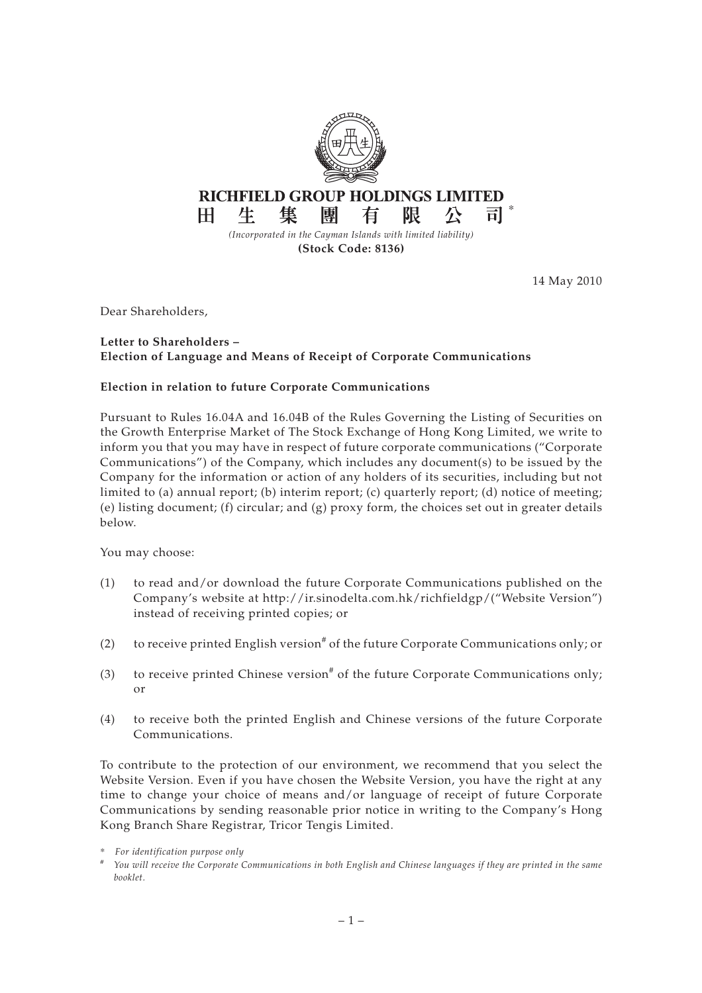

14 May 2010

Dear Shareholders,

## **Letter to Shareholders – Election of Language and Means of Receipt of Corporate Communications**

## **Election in relation to future Corporate Communications**

Pursuant to Rules 16.04A and 16.04B of the Rules Governing the Listing of Securities on the Growth Enterprise Market of The Stock Exchange of Hong Kong Limited, we write to inform you that you may have in respect of future corporate communications ("Corporate Communications") of the Company, which includes any document(s) to be issued by the Company for the information or action of any holders of its securities, including but not limited to (a) annual report; (b) interim report; (c) quarterly report; (d) notice of meeting; (e) listing document; (f) circular; and  $(g)$  proxy form, the choices set out in greater details below.

You may choose:

- (1) to read and/or download the future Corporate Communications published on the Company's website at http://ir.sinodelta.com.hk/richfieldgp/("Website Version") instead of receiving printed copies; or
- (2) to receive printed English version<sup>#</sup> of the future Corporate Communications only; or
- (3) to receive printed Chinese version<sup>#</sup> of the future Corporate Communications only; or
- (4) to receive both the printed English and Chinese versions of the future Corporate Communications.

To contribute to the protection of our environment, we recommend that you select the Website Version. Even if you have chosen the Website Version, you have the right at any time to change your choice of means and/or language of receipt of future Corporate Communications by sending reasonable prior notice in writing to the Company's Hong Kong Branch Share Registrar, Tricor Tengis Limited.

<sup>\*</sup> *For identification purpose only*

*<sup>#</sup> You will receive the Corporate Communications in both English and Chinese languages if they are printed in the same booklet.*